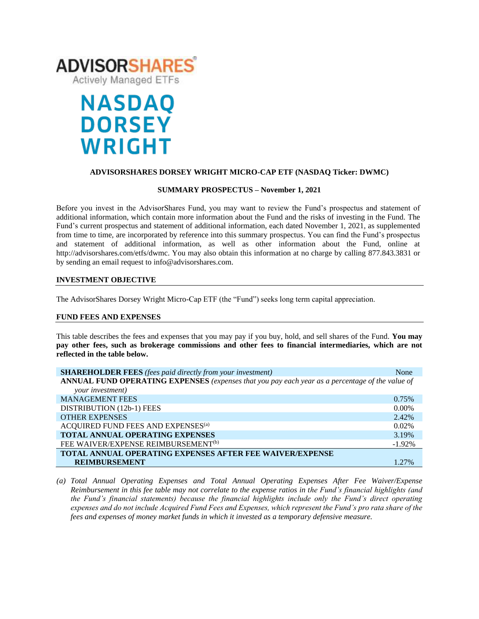

# **NASDAQ DORSEY WRIGHT**

# **ADVISORSHARES DORSEY WRIGHT MICRO-CAP ETF (NASDAQ Ticker: DWMC)**

#### **SUMMARY PROSPECTUS – November 1, 2021**

Before you invest in the AdvisorShares Fund, you may want to review the Fund's prospectus and statement of additional information, which contain more information about the Fund and the risks of investing in the Fund. The Fund's [current prospectus and statement of additional information,](https://www.sec.gov/ix?doc=/Archives/edgar/data/1408970/000182912621013072/ck0001408970-20210630.htm) each dated November 1, 2021, as supplemented from time to time, are incorporated by reference into this summary prospectus. You can find the Fund's prospectus and statement of additional information, as well as other information about the Fund, online at http://advisorshares.com/etfs/dwmc. You may also obtain this information at no charge by calling 877.843.3831 or by sending an email request to info@advisorshares.com.

## **INVESTMENT OBJECTIVE**

The AdvisorShares Dorsey Wright Micro-Cap ETF (the "Fund") seeks long term capital appreciation.

#### **FUND FEES AND EXPENSES**

This table describes the fees and expenses that you may pay if you buy, hold, and sell shares of the Fund*.* **You may pay other fees, such as brokerage commissions and other fees to financial intermediaries, which are not reflected in the table below.**

| <b>SHAREHOLDER FEES</b> (fees paid directly from your investment)                               | None     |
|-------------------------------------------------------------------------------------------------|----------|
| ANNUAL FUND OPERATING EXPENSES (expenses that you pay each year as a percentage of the value of |          |
| your investment)                                                                                |          |
| <b>MANAGEMENT FEES</b>                                                                          | 0.75%    |
| DISTRIBUTION (12b-1) FEES                                                                       | $0.00\%$ |
| <b>OTHER EXPENSES</b>                                                                           | 2.42%    |
| ACQUIRED FUND FEES AND EXPENSES <sup>(a)</sup>                                                  | 0.02%    |
| TOTAL ANNUAL OPERATING EXPENSES                                                                 | 3.19%    |
| FEE WAIVER/EXPENSE REIMBURSEMENT <sup>(b)</sup>                                                 | $-1.92%$ |
| <b>TOTAL ANNUAL OPERATING EXPENSES AFTER FEE WAIVER/EXPENSE</b>                                 |          |
| <b>REIMBURSEMENT</b>                                                                            | 1.27%    |

*(a) Total Annual Operating Expenses and Total Annual Operating Expenses After Fee Waiver/Expense Reimbursement in this fee table may not correlate to the expense ratios in the Fund's financial highlights (and the Fund's financial statements) because the financial highlights include only the Fund's direct operating expenses and do not include Acquired Fund Fees and Expenses, which represent the Fund's pro rata share of the fees and expenses of money market funds in which it invested as a temporary defensive measure.*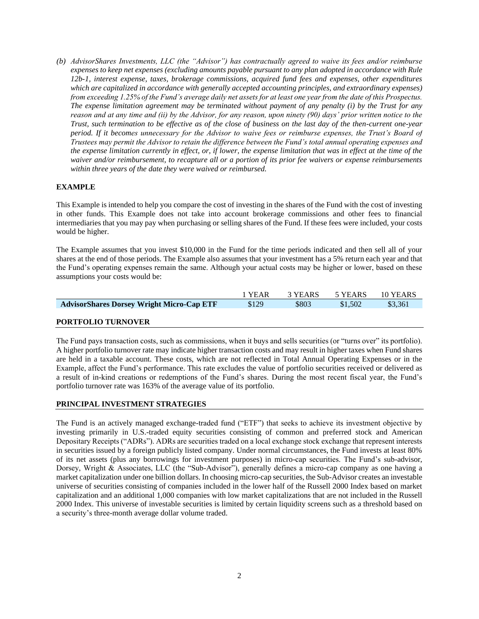*(b) AdvisorShares Investments, LLC (the "Advisor") has contractually agreed to waive its fees and/or reimburse expenses to keep net expenses (excluding amounts payable pursuant to any plan adopted in accordance with Rule 12b-1, interest expense, taxes, brokerage commissions, acquired fund fees and expenses, other expenditures which are capitalized in accordance with generally accepted accounting principles, and extraordinary expenses) from exceeding 1.25% of the Fund's average daily net assets for at least one year from the date of this Prospectus. The expense limitation agreement may be terminated without payment of any penalty (i) by the Trust for any reason and at any time and (ii) by the Advisor, for any reason, upon ninety (90) days' prior written notice to the Trust, such termination to be effective as of the close of business on the last day of the then-current one-year period. If it becomes unnecessary for the Advisor to waive fees or reimburse expenses, the Trust's Board of Trustees may permit the Advisor to retain the difference between the Fund's total annual operating expenses and the expense limitation currently in effect, or, if lower, the expense limitation that was in effect at the time of the waiver and/or reimbursement, to recapture all or a portion of its prior fee waivers or expense reimbursements within three years of the date they were waived or reimbursed.*

# **EXAMPLE**

This Example is intended to help you compare the cost of investing in the shares of the Fund with the cost of investing in other funds. This Example does not take into account brokerage commissions and other fees to financial intermediaries that you may pay when purchasing or selling shares of the Fund. If these fees were included, your costs would be higher.

The Example assumes that you invest \$10,000 in the Fund for the time periods indicated and then sell all of your shares at the end of those periods. The Example also assumes that your investment has a 5% return each year and that the Fund's operating expenses remain the same. Although your actual costs may be higher or lower, based on these assumptions your costs would be:

|                                                  | 1 YEAR | 3 YEARS 5 YEARS |         | 10 YEARS |
|--------------------------------------------------|--------|-----------------|---------|----------|
| <b>AdvisorShares Dorsey Wright Micro-Cap ETF</b> | \$129  | \$803           | \$1,502 | \$3.361  |

## **PORTFOLIO TURNOVER**

The Fund pays transaction costs, such as commissions, when it buys and sells securities (or "turns over" its portfolio). A higher portfolio turnover rate may indicate higher transaction costs and may result in higher taxes when Fund shares are held in a taxable account. These costs, which are not reflected in Total Annual Operating Expenses or in the Example, affect the Fund's performance. This rate excludes the value of portfolio securities received or delivered as a result of in-kind creations or redemptions of the Fund's shares. During the most recent fiscal year, the Fund's portfolio turnover rate was 163% of the average value of its portfolio.

## **PRINCIPAL INVESTMENT STRATEGIES**

The Fund is an actively managed exchange-traded fund ("ETF") that seeks to achieve its investment objective by investing primarily in U.S.-traded equity securities consisting of common and preferred stock and American Depositary Receipts ("ADRs"). ADRs are securities traded on a local exchange stock exchange that represent interests in securities issued by a foreign publicly listed company. Under normal circumstances, the Fund invests at least 80% of its net assets (plus any borrowings for investment purposes) in micro-cap securities. The Fund's sub-advisor, Dorsey, Wright & Associates, LLC (the "Sub-Advisor"), generally defines a micro-cap company as one having a market capitalization under one billion dollars. In choosing micro-cap securities, the Sub-Advisor creates an investable universe of securities consisting of companies included in the lower half of the Russell 2000 Index based on market capitalization and an additional 1,000 companies with low market capitalizations that are not included in the Russell 2000 Index. This universe of investable securities is limited by certain liquidity screens such as a threshold based on a security's three-month average dollar volume traded.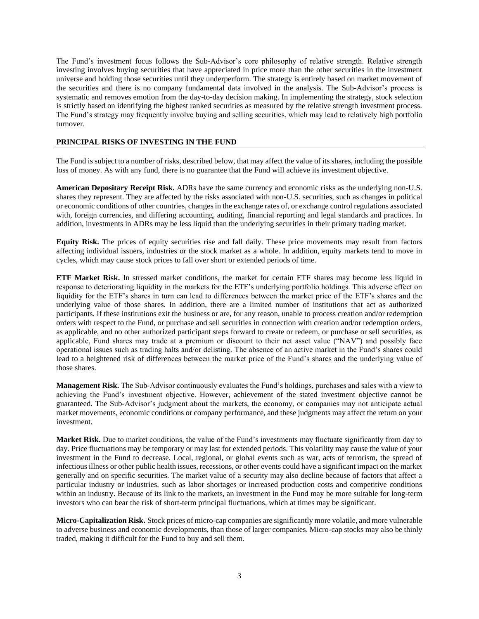The Fund's investment focus follows the Sub-Advisor's core philosophy of relative strength. Relative strength investing involves buying securities that have appreciated in price more than the other securities in the investment universe and holding those securities until they underperform. The strategy is entirely based on market movement of the securities and there is no company fundamental data involved in the analysis. The Sub-Advisor's process is systematic and removes emotion from the day-to-day decision making. In implementing the strategy, stock selection is strictly based on identifying the highest ranked securities as measured by the relative strength investment process. The Fund's strategy may frequently involve buying and selling securities, which may lead to relatively high portfolio turnover.

#### **PRINCIPAL RISKS OF INVESTING IN THE FUND**

The Fund is subject to a number of risks, described below, that may affect the value of its shares, including the possible loss of money. As with any fund, there is no guarantee that the Fund will achieve its investment objective.

**American Depositary Receipt Risk.** ADRs have the same currency and economic risks as the underlying non-U.S. shares they represent. They are affected by the risks associated with non-U.S. securities, such as changes in political or economic conditions of other countries, changes in the exchange rates of, or exchange control regulations associated with, foreign currencies, and differing accounting, auditing, financial reporting and legal standards and practices. In addition, investments in ADRs may be less liquid than the underlying securities in their primary trading market.

**Equity Risk.** The prices of equity securities rise and fall daily. These price movements may result from factors affecting individual issuers, industries or the stock market as a whole. In addition, equity markets tend to move in cycles, which may cause stock prices to fall over short or extended periods of time.

**ETF Market Risk.** In stressed market conditions, the market for certain ETF shares may become less liquid in response to deteriorating liquidity in the markets for the ETF's underlying portfolio holdings. This adverse effect on liquidity for the ETF's shares in turn can lead to differences between the market price of the ETF's shares and the underlying value of those shares. In addition, there are a limited number of institutions that act as authorized participants. If these institutions exit the business or are, for any reason, unable to process creation and/or redemption orders with respect to the Fund, or purchase and sell securities in connection with creation and/or redemption orders, as applicable, and no other authorized participant steps forward to create or redeem, or purchase or sell securities, as applicable, Fund shares may trade at a premium or discount to their net asset value ("NAV") and possibly face operational issues such as trading halts and/or delisting. The absence of an active market in the Fund's shares could lead to a heightened risk of differences between the market price of the Fund's shares and the underlying value of those shares.

**Management Risk.** The Sub-Advisor continuously evaluates the Fund's holdings, purchases and sales with a view to achieving the Fund's investment objective. However, achievement of the stated investment objective cannot be guaranteed. The Sub-Advisor's judgment about the markets, the economy, or companies may not anticipate actual market movements, economic conditions or company performance, and these judgments may affect the return on your investment.

**Market Risk.** Due to market conditions, the value of the Fund's investments may fluctuate significantly from day to day. Price fluctuations may be temporary or may last for extended periods. This volatility may cause the value of your investment in the Fund to decrease. Local, regional, or global events such as war, acts of terrorism, the spread of infectious illness or other public health issues, recessions, or other events could have a significant impact on the market generally and on specific securities. The market value of a security may also decline because of factors that affect a particular industry or industries, such as labor shortages or increased production costs and competitive conditions within an industry. Because of its link to the markets, an investment in the Fund may be more suitable for long-term investors who can bear the risk of short-term principal fluctuations, which at times may be significant.

**Micro-Capitalization Risk.** Stock prices of micro-cap companies are significantly more volatile, and more vulnerable to adverse business and economic developments, than those of larger companies. Micro-cap stocks may also be thinly traded, making it difficult for the Fund to buy and sell them.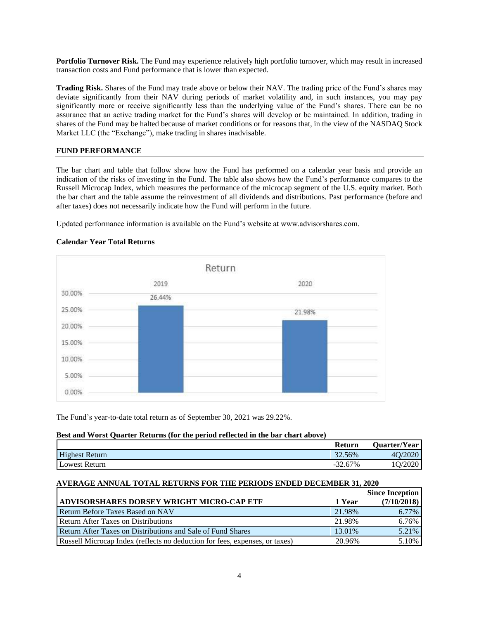**Portfolio Turnover Risk.** The Fund may experience relatively high portfolio turnover, which may result in increased transaction costs and Fund performance that is lower than expected.

**Trading Risk.** Shares of the Fund may trade above or below their NAV. The trading price of the Fund's shares may deviate significantly from their NAV during periods of market volatility and, in such instances, you may pay significantly more or receive significantly less than the underlying value of the Fund's shares. There can be no assurance that an active trading market for the Fund's shares will develop or be maintained. In addition, trading in shares of the Fund may be halted because of market conditions or for reasons that, in the view of the NASDAQ Stock Market LLC (the "Exchange"), make trading in shares inadvisable.

## **FUND PERFORMANCE**

The bar chart and table that follow show how the Fund has performed on a calendar year basis and provide an indication of the risks of investing in the Fund. The table also shows how the Fund's performance compares to the Russell Microcap Index, which measures the performance of the microcap segment of the U.S. equity market. Both the bar chart and the table assume the reinvestment of all dividends and distributions. Past performance (before and after taxes) does not necessarily indicate how the Fund will perform in the future.

Updated performance information is available on the Fund's website at www.advisorshares.com.

## **Calendar Year Total Returns**



The Fund's year-to-date total return as of September 30, 2021 was 29.22%.

## **Best and Worst Quarter Returns (for the period reflected in the bar chart above)**

|                       | Return    | <b>Duarter/Year</b> |
|-----------------------|-----------|---------------------|
| <b>Highest Return</b> | 32.56%    | 4O/2020             |
| Lowest Return         | $-32.67%$ | O/2020              |

## **AVERAGE ANNUAL TOTAL RETURNS FOR THE PERIODS ENDED DECEMBER 31, 2020**

|                                                                             |        | <b>Since Inception</b> |
|-----------------------------------------------------------------------------|--------|------------------------|
| ADVISORSHARES DORSEY WRIGHT MICRO-CAP ETF                                   | 1 Year | (7/10/2018)            |
| Return Before Taxes Based on NAV                                            | 21.98% | 6.77%                  |
| <b>Return After Taxes on Distributions</b>                                  | 21.98% | 6.76%                  |
| Return After Taxes on Distributions and Sale of Fund Shares                 | 13.01% | 5.21%                  |
| Russell Microcap Index (reflects no deduction for fees, expenses, or taxes) | 20.96% | 5.10%                  |